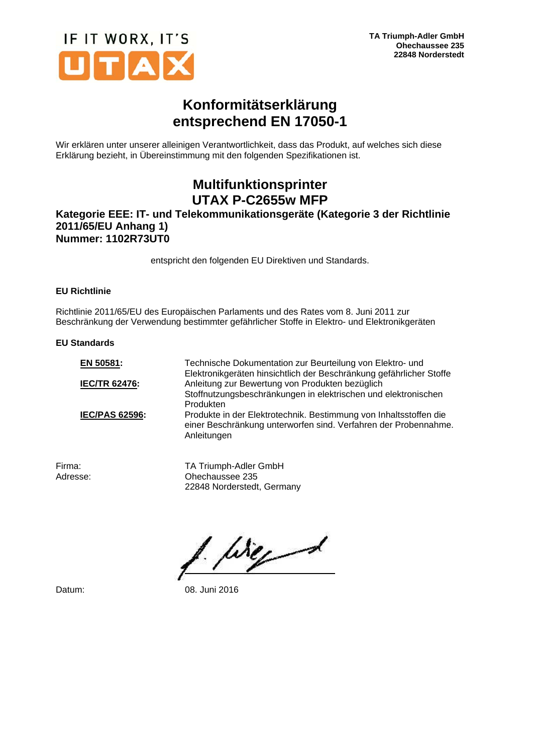

## **Konformitätserklärung entsprechend EN 17050-1**

Wir erklären unter unserer alleinigen Verantwortlichkeit, dass das Produkt, auf welches sich diese Erklärung bezieht, in Übereinstimmung mit den folgenden Spezifikationen ist.

# **Multifunktionsprinter UTAX P-C2655w MFP**

### **Kategorie EEE: IT- und Telekommunikationsgeräte (Kategorie 3 der Richtlinie 2011/65/EU Anhang 1) Nummer: 1102R73UT0**

entspricht den folgenden EU Direktiven und Standards.

#### **EU Richtlinie**

Richtlinie 2011/65/EU des Europäischen Parlaments und des Rates vom 8. Juni 2011 zur Beschränkung der Verwendung bestimmter gefährlicher Stoffe in Elektro- und Elektronikgeräten

#### **EU Standards**

| Technische Dokumentation zur Beurteilung von Elektro- und<br>Elektronikgeräten hinsichtlich der Beschränkung gefährlicher Stoffe                    |
|-----------------------------------------------------------------------------------------------------------------------------------------------------|
| Anleitung zur Bewertung von Produkten bezüglich                                                                                                     |
| Stoffnutzungsbeschränkungen in elektrischen und elektronischen                                                                                      |
| Produkten                                                                                                                                           |
| Produkte in der Elektrotechnik. Bestimmung von Inhaltsstoffen die<br>einer Beschränkung unterworfen sind. Verfahren der Probennahme.<br>Anleitungen |
|                                                                                                                                                     |

Firma: TA Triumph-Adler GmbH<br>Adresse: Chechaussee 235 Ohechaussee 235 22848 Norderstedt, Germany

birged

Datum: 08. Juni 2016